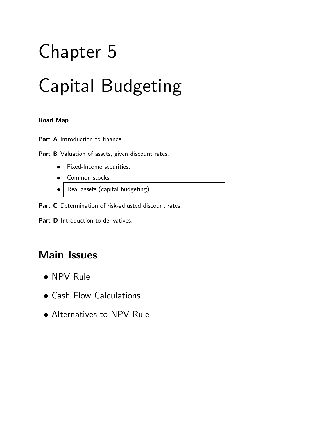# Chapter 5 Capital Budgeting

#### **Road Map**

Part A Introduction to finance.

Part B Valuation of assets, given discount rates.

- Fixed-Income securities.
- Common stocks.
- $\bullet$  Real assets (capital budgeting).

Part C Determination of risk-adjusted discount rates.

Part **D** Introduction to derivatives.

### **Main Issues**

- NPV Rule
- Cash Flow Calculations
- Alternatives to NPV Rule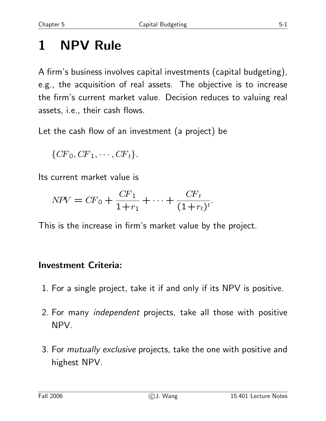# **1 NPV Rule**

A firm's business involves capital investments (capital budgeting), e.g., the acquisition of real assets. The objective is to increase the firm's current market value. Decision reduces to valuing real assets, i.e., their cash flows.

Let the cash flow of an investment (a project) be

$$
\{CF_0, CF_1, \cdots, CF_t\}.
$$

Its current market value is

$$
NPV = CF_0 + \frac{CF_1}{1+r_1} + \dots + \frac{CF_t}{(1+r_t)^t}.
$$

This is the increase in firm's market value by the project.

#### **Investment Criteria:**

- 1. For a single project, take it if and only if its NPV is positive.
- 2. For many *independent* projects, take all those with positive NPV.
- 3. For *mutually exclusive* projects, take the one with positive and highest NPV.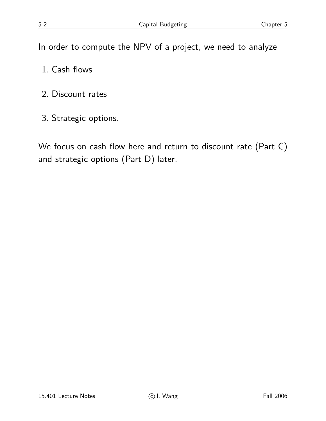In order to compute the NPV of a project, we need to analyze

- 1. Cash flows
- 2. Discount rates
- 3. Strategic options.

We focus on cash flow here and return to discount rate (Part C) and strategic options (Part D) later.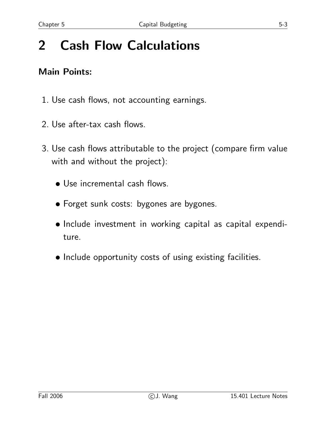# **2 Cash Flow Calculations**

#### **Main Points:**

- 1. Use cash flows, not accounting earnings.
- 2. Use after-tax cash flows.
- 3. Use cash flows attributable to the project (compare firm value with and without the project):
	- Use incremental cash flows.
	- Forget sunk costs: bygones are bygones.
	- Include investment in working capital as capital expenditure.
	- Include opportunity costs of using existing facilities.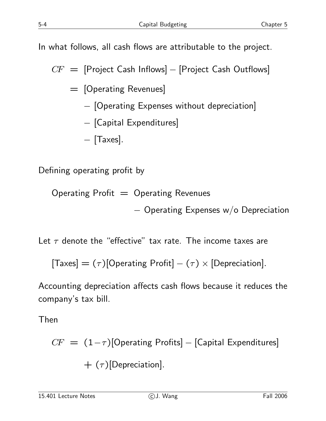In what follows, all cash flows are attributable to the project.

 $CF =$  [Project Cash Inflows] – [Project Cash Outflows]

= [Operating Revenues]

− [Operating Expenses without depreciation]

$$
- [Capital\ Expenditures]
$$

− [Taxes].

Defining operating profit by

Operating Profit  $=$  Operating Revenues

− Operating Expenses w/o Depreciation

Let  $\tau$  denote the "effective" tax rate. The income taxes are

 $[Taxes] = (\tau)[Operating Profit] - (\tau) \times [Depreciation].$ 

Accounting depreciation affects cash flows because it reduces the company's tax bill.

Then

$$
CF = (1-\tau)[Operating \text{ Profits}] - [Capital \text{ Expenditures}]
$$
  
+  $(\tau)[Depreciation].$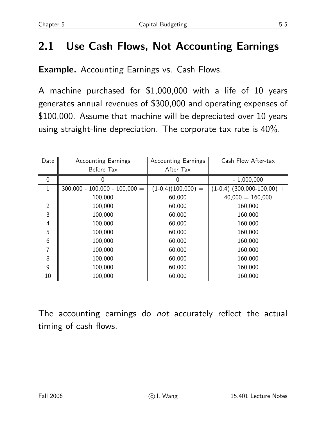### **2.1 Use Cash Flows, Not Accounting Earnings**

**Example.** Accounting Earnings vs. Cash Flows.

A machine purchased for \$1,000,000 with a life of 10 years generates annual revenues of \$300,000 and operating expenses of \$100,000. Assume that machine will be depreciated over 10 years using straight-line depreciation. The corporate tax rate is 40%.

| Date           | <b>Accounting Earnings</b>      | <b>Accounting Earnings</b> | Cash Flow After-tax            |
|----------------|---------------------------------|----------------------------|--------------------------------|
|                | Before Tax                      | After Tax                  |                                |
| 0              |                                 | 0                          | $-1,000,000$                   |
| 1              | $300,000 - 100,000 - 100,000 =$ | $(1-0.4)(100,000) =$       | $(1-0.4)$ $(300,000-100,00) +$ |
|                | 100,000                         | 60,000                     | $40,000 = 160,000$             |
| $\overline{2}$ | 100,000                         | 60,000                     | 160,000                        |
| 3              | 100,000                         | 60,000                     | 160,000                        |
| 4              | 100,000                         | 60,000                     | 160,000                        |
| 5              | 100,000                         | 60,000                     | 160,000                        |
| 6              | 100,000                         | 60,000                     | 160,000                        |
| 7              | 100,000                         | 60,000                     | 160,000                        |
| 8              | 100,000                         | 60,000                     | 160,000                        |
| 9              | 100,000                         | 60,000                     | 160,000                        |
| 10             | 100,000                         | 60,000                     | 160,000                        |

The accounting earnings do *not* accurately reflect the actual timing of cash flows.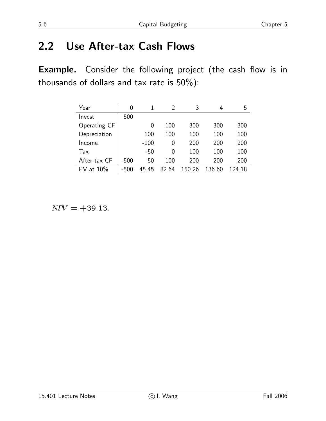# **2.2 Use After-tax Cash Flows**

**Example.** Consider the following project (the cash flow is in thousands of dollars and tax rate is  $50\%$ ):

| Year            | 0      |        | 2     | 3      | 4      | 5      |
|-----------------|--------|--------|-------|--------|--------|--------|
| Invest          | 500    |        |       |        |        |        |
| Operating CF    |        | 0      | 100   | 300    | 300    | 300    |
| Depreciation    |        | 100    | 100   | 100    | 100    | 100    |
| Income          |        | $-100$ | 0     | 200    | 200    | 200    |
| Tax             |        | -50    | 0     | 100    | 100    | 100    |
| After-tax CF    | $-500$ | 50     | 100   | 200    | 200    | 200    |
| at $10\%$<br>PV | -500   | 45.45  | 82.64 | 150.26 | 136.60 | 124.18 |

 $NPV = +39.13$ .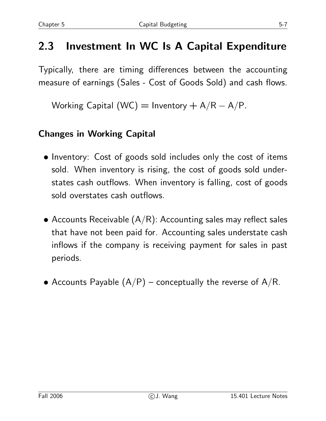### **2.3 Investment In WC Is A Capital Expenditure**

Typically, there are timing differences between the accounting measure of earnings (Sales - Cost of Goods Sold) and cash flows.

Working Capital (WC) = Inventory +  $A/R - A/P$ .

#### **Changes in Working Capital**

- Inventory: Cost of goods sold includes only the cost of items sold. When inventory is rising, the cost of goods sold understates cash outflows. When inventory is falling, cost of goods sold overstates cash outflows.
- Accounts Receivable  $(A/R)$ : Accounting sales may reflect sales that have not been paid for. Accounting sales understate cash inflows if the company is receiving payment for sales in past periods.
- Accounts Payable  $(A/P)$  conceptually the reverse of  $A/R$ .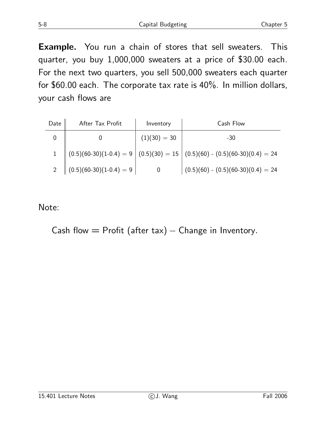**Example.** You run a chain of stores that sell sweaters. This quarter, you buy 1,000,000 sweaters at a price of \$30.00 each. For the next two quarters, you sell 500,000 sweaters each quarter for \$60.00 each. The corporate tax rate is 40%. In million dollars, your cash flows are

| Date | After Tax Profit                        | Inventory      | Cash Flow                                                                     |  |  |
|------|-----------------------------------------|----------------|-------------------------------------------------------------------------------|--|--|
|      |                                         | $(1)(30) = 30$ | $-30$                                                                         |  |  |
|      |                                         |                | 1 $(0.5)(60-30)(1-0.4) = 9 (0.5)(30) = 15 (0.5)(60) - (0.5)(60-30)(0.4) = 24$ |  |  |
|      | 2 $\Big  (0.5)(60-30)(1-0.4) = 9 \Big $ |                | $(0.5)(60) - (0.5)(60-30)(0.4) = 24$                                          |  |  |

Note:

Cash flow = Profit (after tax)  $-$  Change in Inventory.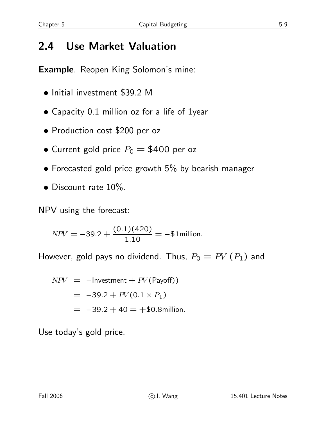# **2.4 Use Market Valuation**

**Example**. Reopen King Solomon's mine:

- Initial investment \$39.2 M
- Capacity 0.1 million oz for a life of 1year
- Production cost \$200 per oz
- Current gold price  $P_0 = $400$  per oz
- Forecasted gold price growth 5% by bearish manager
- Discount rate 10%.

NPV using the forecast:

 $NPV = -39.2 + \frac{(0.1)(420)}{1.10}$  $\frac{1}{1.10}$  = -\$1million.

However, gold pays no dividend. Thus,  $P_0 = PV(P_1)$  and

$$
NPV = -Investment + PV(Payoff))
$$
  
= -39.2 + PV(0.1 × P<sub>1</sub>)  
= -39.2 + 40 = +\$0.8million.

Use today's gold price.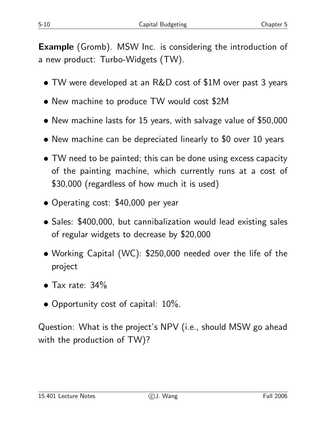**Example** (Gromb). MSW Inc. is considering the introduction of a new product: Turbo-Widgets (TW).

- TW were developed at an R&D cost of \$1M over past 3 years
- New machine to produce TW would cost \$2M
- New machine lasts for 15 years, with salvage value of \$50,000
- New machine can be depreciated linearly to \$0 over 10 years
- TW need to be painted; this can be done using excess capacity of the painting machine, which currently runs at a cost of \$30,000 (regardless of how much it is used)
- Operating cost: \$40,000 per year
- Sales: \$400,000, but cannibalization would lead existing sales of regular widgets to decrease by \$20,000
- Working Capital (WC): \$250,000 needed over the life of the project
- Tax rate: 34%
- Opportunity cost of capital: 10%.

Question: What is the project's NPV (i.e., should MSW go ahead with the production of TW)?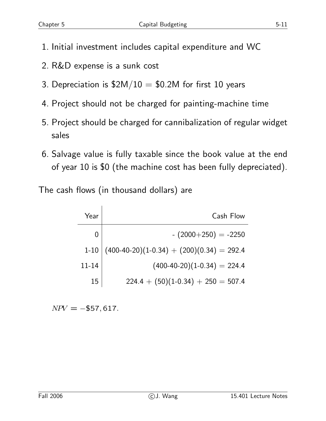- 1. Initial investment includes capital expenditure and WC
- 2. R&D expense is a sunk cost
- 3. Depreciation is  $$2M/10 = $0.2M$  for first 10 years
- 4. Project should not be charged for painting-machine time
- 5. Project should be charged for cannibalization of regular widget sales
- 6. Salvage value is fully taxable since the book value at the end of year 10 is \$0 (the machine cost has been fully depreciated).

The cash flows (in thousand dollars) are

| Year          | Cash Flow                                   |
|---------------|---------------------------------------------|
| $\mathcal{O}$ | $-(2000+250) = -2250$                       |
| $1 - 10$      | $(400-40-20)(1-0.34) + (200)(0.34) = 292.4$ |
| $11 - 14$     | $(400-40-20)(1-0.34) = 224.4$               |
| 15            | $224.4 + (50)(1-0.34) + 250 = 507.4$        |

 $NPV = -\$57,617.$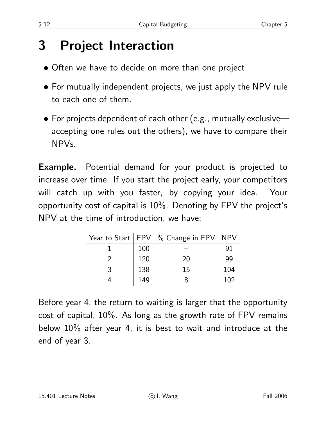# **3 Project Interaction**

- Often we have to decide on more than one project.
- For mutually independent projects, we just apply the NPV rule to each one of them.
- For projects dependent of each other (e.g., mutually exclusive accepting one rules out the others), we have to compare their NPVs.

**Example.** Potential demand for your product is projected to increase over time. If you start the project early, your competitors will catch up with you faster, by copying your idea. Your opportunity cost of capital is 10%. Denoting by FPV the project's NPV at the time of introduction, we have:

|   |     | Year to Start   $FPV$ % Change in $FPV$ NPV |     |
|---|-----|---------------------------------------------|-----|
|   | 100 |                                             | 91  |
|   | 120 | 20                                          | 99  |
| २ | 138 | 15                                          | 104 |
|   | 149 | x                                           | 102 |

Before year 4, the return to waiting is larger that the opportunity cost of capital, 10%. As long as the growth rate of FPV remains below 10% after year 4, it is best to wait and introduce at the end of year 3.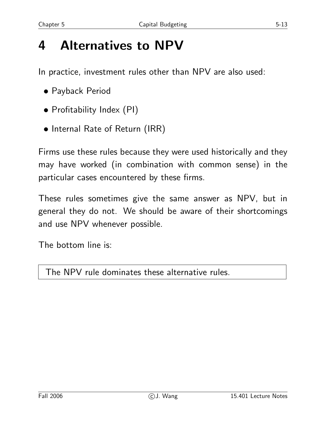# **4 Alternatives to NPV**

In practice, investment rules other than NPV are also used:

- Payback Period
- Profitability Index (PI)
- Internal Rate of Return (IRR)

Firms use these rules because they were used historically and they may have worked (in combination with common sense) in the particular cases encountered by these firms.

These rules sometimes give the same answer as NPV, but in general they do not. We should be aware of their shortcomings and use NPV whenever possible.

The bottom line is:

The NPV rule dominates these alternative rules.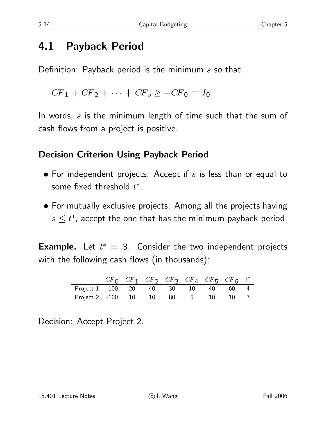### **4.1 Payback Period**

Definition: Payback period is the minimum  $s$  so that

 $CF_1 + CF_2 + \cdots + CF_s \geq -CF_0 = I_0$ 

In words, s is the minimum length of time such that the sum of cash flows from a project is positive.

#### **Decision Criterion Using Payback Period**

- For independent projects: Accept if  $s$  is less than or equal to some fixed threshold  $t^*$ .
- For mutually exclusive projects: Among all the projects having  $s \leq t^*$ , accept the one that has the minimum payback period.

**Example.** Let  $t^* = 3$ . Consider the two independent projects with the following cash flows (in thousands):

|                                           |  |  | $\begin{array}{cccc} \begin{array}{cccc} CF_0 & CF_1 & CF_2 & CF_3 & CF_4 & CF_5 & CF_6 \end{array} \end{array}$ |  |
|-------------------------------------------|--|--|------------------------------------------------------------------------------------------------------------------|--|
| Project $1 \mid -100$ 20 40 30 10 40 60 4 |  |  |                                                                                                                  |  |
| Project 2   -100 10 10 80 5 10 10   3     |  |  |                                                                                                                  |  |

Decision: Accept Project 2.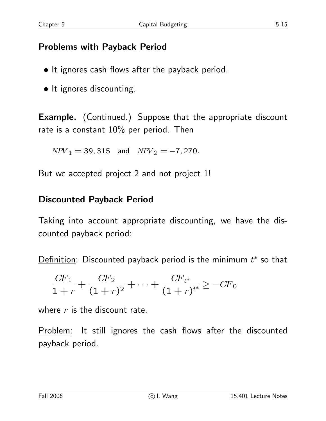#### **Problems with Payback Period**

- It ignores cash flows after the payback period.
- It ignores discounting.

**Example.** (Continued.) Suppose that the appropriate discount rate is a constant 10% per period. Then

 $NPV_1 = 39,315$  and  $NPV_2 = -7,270$ .

But we accepted project 2 and not project 1!

#### **Discounted Payback Period**

Taking into account appropriate discounting, we have the discounted payback period:

Definition: Discounted payback period is the minimum  $t^*$  so that

$$
\frac{CF_1}{1+r} + \frac{CF_2}{(1+r)^2} + \dots + \frac{CF_{t^*}}{(1+r)^{t^*}} \ge -CF_0
$$

where  $r$  is the discount rate.

Problem: It still ignores the cash flows after the discounted payback period.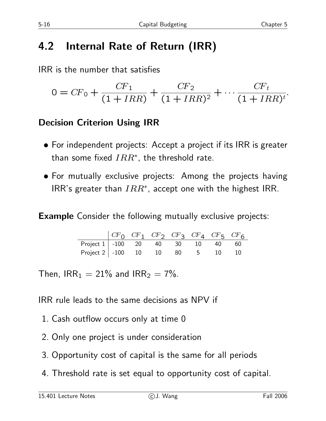# **4.2 Internal Rate of Return (IRR)**

IRR is the number that satisfies

$$
0 = CF_0 + \frac{CF_1}{(1 + IRR)} + \frac{CF_2}{(1 + IRR)^2} + \cdots + \frac{CF_t}{(1 + IRR)^t}.
$$

#### **Decision Criterion Using IRR**

- For independent projects: Accept a project if its IRR is greater than some fixed  $IRR^*$ , the threshold rate.
- For mutually exclusive projects: Among the projects having IRR's greater than  $IRR^*$ , accept one with the highest IRR.

**Example** Consider the following mutually exclusive projects:

|                                         |  | $ CF_0$ $CF_1$ $CF_2$ $CF_3$ $CF_4$ $CF_5$ $CF_6$ |  |  |
|-----------------------------------------|--|---------------------------------------------------|--|--|
| Project 1   -100 20 40 30 10 40 60      |  |                                                   |  |  |
| Project 2   -100  10  10  80  5  10  10 |  |                                                   |  |  |

Then,  $IRR_1 = 21\%$  and  $IRR_2 = 7\%$ .

IRR rule leads to the same decisions as NPV if

- 1. Cash outflow occurs only at time 0
- 2. Only one project is under consideration
- 3. Opportunity cost of capital is the same for all periods
- 4. Threshold rate is set equal to opportunity cost of capital.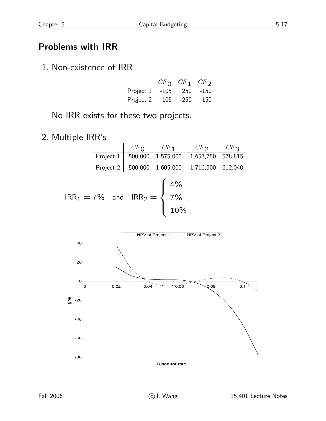#### **Problems with IRR**

1. Non-existence of IRR

|           | CF <sub>0</sub> | $CF$ 1 | CF     |
|-----------|-----------------|--------|--------|
| Project 1 | -105            | 250    | $-150$ |
| Project 2 | 105             | $-250$ | 150    |

No IRR exists for these two projects.

2. Multiple IRR's



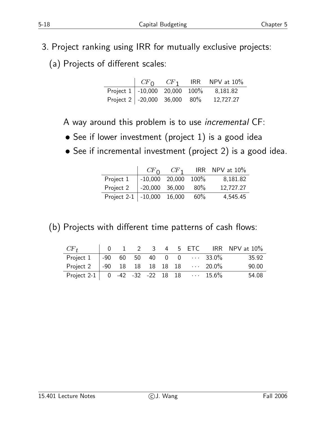- 3. Project ranking using IRR for mutually exclusive projects:
	- (a) Projects of different scales:

|                                                |  | $\begin{bmatrix} CF_0 & CF_1 \end{bmatrix}$ IRR NPV at 10% |
|------------------------------------------------|--|------------------------------------------------------------|
|                                                |  | Project 1   -10,000 20,000 100% 8,181.82                   |
| Project $2 \mid -20,000 \mid 36,000 \mid 80\%$ |  | 12,727.27                                                  |

A way around this problem is to use *incremental* CF:

- See if lower investment (project 1) is a good idea
- See if incremental investment (project 2) is a good idea.

|                                | CF <sub>0</sub>       | $CF_1$ |        | IRR NPV at $10\%$ |
|--------------------------------|-----------------------|--------|--------|-------------------|
| Project 1                      | $-10,000$ 20,000 100% |        |        | 8,181.82          |
| Project 2                      | -20,000 36,000        |        | $80\%$ | 12,727.27         |
| Project $2-1$ $-10,000$ 16,000 |                       |        | 60%    | 4,545.45          |

(b) Projects with different time patterns of cash flows:

| $CF_{t}$                                         |  |  |  |                                         | $\begin{array}{ ccc } \hline \ 0 & 1 & 2 & 3 & 4 & 5 & \text{ETC} & \text{IRR} & \text{NPV at 10\%} \end{array}$ |
|--------------------------------------------------|--|--|--|-----------------------------------------|------------------------------------------------------------------------------------------------------------------|
| Project 1                                        |  |  |  | $\vert$ -90 60 50 40 0 0 $\cdots$ 33.0% | 35.92                                                                                                            |
| Project 2   -90 18 18 18 18 18 $\cdots$ 20.0%    |  |  |  |                                         | 90.00                                                                                                            |
| Project 2-1   0 -42 -32 -22 18 18 $\cdots$ 15.6% |  |  |  |                                         | 54.08                                                                                                            |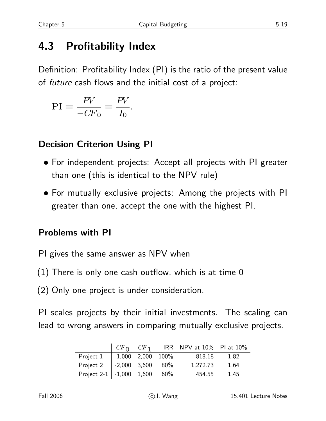# **4.3 Profitability Index**

Definition: Profitability Index (PI) is the ratio of the present value of *future* cash flows and the initial cost of a project:

$$
\text{PI} = \frac{PV}{-CF_0} = \frac{PV}{I_0}.
$$

#### **Decision Criterion Using PI**

- For independent projects: Accept all projects with PI greater than one (this is identical to the NPV rule)
- For mutually exclusive projects: Among the projects with PI greater than one, accept the one with the highest PI.

#### **Problems with PI**

- PI gives the same answer as NPV when
- (1) There is only one cash outflow, which is at time 0
- (2) Only one project is under consideration.

PI scales projects by their initial investments. The scaling can lead to wrong answers in comparing mutually exclusive projects.

|                                  | $CF_0$ $CF_1$                |  | IRR NPV at $10\%$ PI at $10\%$ |      |
|----------------------------------|------------------------------|--|--------------------------------|------|
| Project 1                        | $  -1,000 \t 2,000 \t 100\%$ |  | 818.18                         | 1.82 |
| Project 2                        | $1 - 2,000$ 3,600 80%        |  | 1,272.73                       | 1.64 |
| Project 2-1   -1,000 $1,600$ 60% |                              |  | 454.55                         | 1.45 |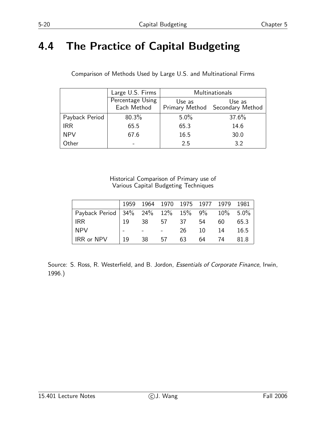### **4.4 The Practice of Capital Budgeting**

|                | Large U.S. Firms                | Multinationals |                                           |  |  |
|----------------|---------------------------------|----------------|-------------------------------------------|--|--|
|                | Percentage Using<br>Each Method | Use as         | Use as<br>Primary Method Secondary Method |  |  |
| Payback Period | 80.3%                           | $5.0\%$        | 37.6%                                     |  |  |
| <b>IRR</b>     | 65.5                            | 65.3           | 14.6                                      |  |  |
| <b>NPV</b>     | 67.6                            | 16.5           | 30.0                                      |  |  |
| Other          |                                 | 2.5            | 3.2                                       |  |  |

Comparison of Methods Used by Large U.S. and Multinational Firms

#### Historical Comparison of Primary use of Various Capital Budgeting Techniques

|                                            |     |    | 1959 1964 1970 1975 1977 1979 |    |     |     | 1981 |
|--------------------------------------------|-----|----|-------------------------------|----|-----|-----|------|
| Payback Period 34% 24% 12% 15% 9% 10% 5.0% |     |    |                               |    |     |     |      |
| <b>IRR</b>                                 | -19 | 38 | 57 37                         |    | -54 | 60  | 65.3 |
| <b>NPV</b>                                 |     |    |                               | 26 | 10  | -14 | 16.5 |
| IRR or NPV                                 | 19  | 38 | 57                            | 63 | 64  | 74  | 81.8 |

Source: S. Ross, R. Westerfield, and B. Jordon, *Essentials of Corporate Finance*, Irwin, 1996.)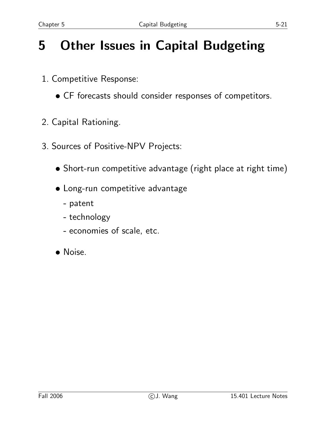# **5 Other Issues in Capital Budgeting**

- 1. Competitive Response:
	- CF forecasts should consider responses of competitors.
- 2. Capital Rationing.
- 3. Sources of Positive-NPV Projects:
	- Short-run competitive advantage (right place at right time)
	- Long-run competitive advantage
		- **-** patent
		- **-** technology
		- **-** economies of scale, etc.
	- Noise.